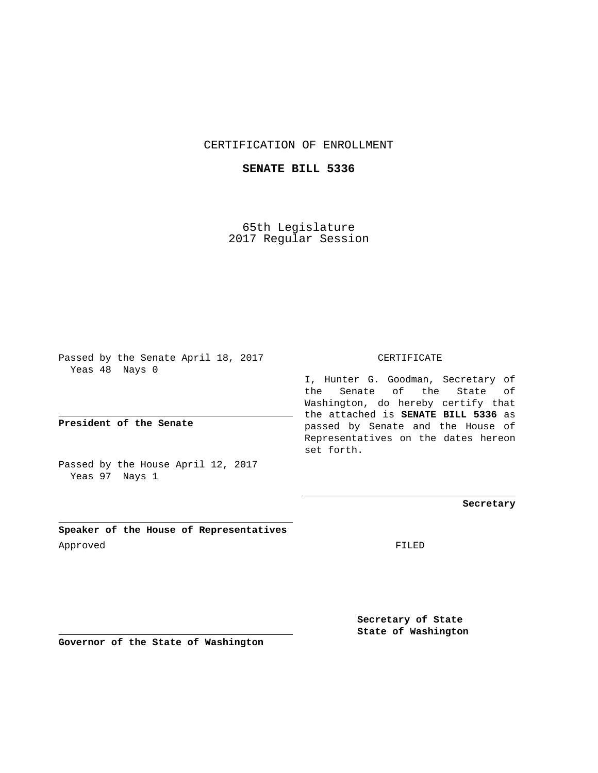CERTIFICATION OF ENROLLMENT

**SENATE BILL 5336**

65th Legislature 2017 Regular Session

Passed by the Senate April 18, 2017 Yeas 48 Nays 0

**President of the Senate**

Passed by the House April 12, 2017 Yeas 97 Nays 1

**Speaker of the House of Representatives** Approved FILED

CERTIFICATE

I, Hunter G. Goodman, Secretary of the Senate of the State of Washington, do hereby certify that the attached is **SENATE BILL 5336** as passed by Senate and the House of Representatives on the dates hereon set forth.

**Secretary**

**Secretary of State State of Washington**

**Governor of the State of Washington**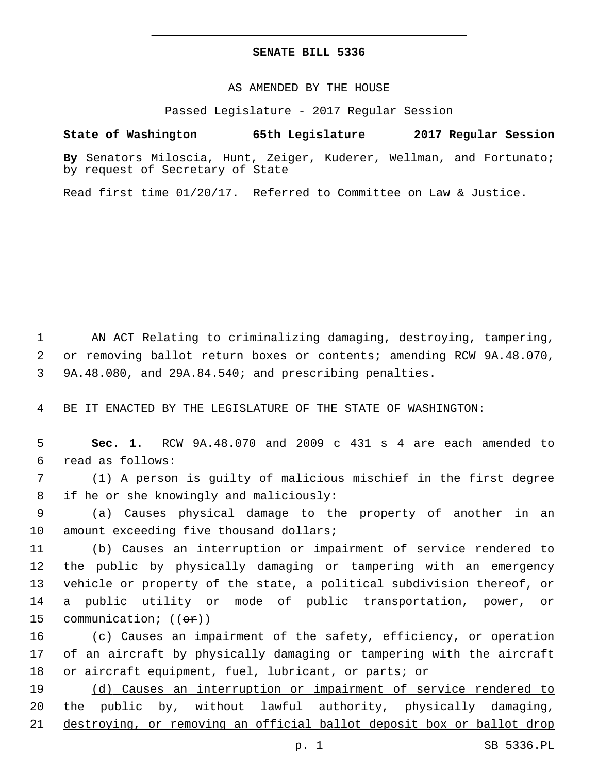## **SENATE BILL 5336**

AS AMENDED BY THE HOUSE

Passed Legislature - 2017 Regular Session

## **State of Washington 65th Legislature 2017 Regular Session**

**By** Senators Miloscia, Hunt, Zeiger, Kuderer, Wellman, and Fortunato; by request of Secretary of State

Read first time 01/20/17. Referred to Committee on Law & Justice.

1 AN ACT Relating to criminalizing damaging, destroying, tampering, 2 or removing ballot return boxes or contents; amending RCW 9A.48.070, 3 9A.48.080, and 29A.84.540; and prescribing penalties.

4 BE IT ENACTED BY THE LEGISLATURE OF THE STATE OF WASHINGTON:

5 **Sec. 1.** RCW 9A.48.070 and 2009 c 431 s 4 are each amended to read as follows:6

7 (1) A person is guilty of malicious mischief in the first degree 8 if he or she knowingly and maliciously:

9 (a) Causes physical damage to the property of another in an 10 amount exceeding five thousand dollars;

 (b) Causes an interruption or impairment of service rendered to the public by physically damaging or tampering with an emergency vehicle or property of the state, a political subdivision thereof, or a public utility or mode of public transportation, power, or 15 communication; ((ex))

16 (c) Causes an impairment of the safety, efficiency, or operation 17 of an aircraft by physically damaging or tampering with the aircraft 18 or aircraft equipment, fuel, lubricant, or parts<u>; or</u>

19 (d) Causes an interruption or impairment of service rendered to 20 the public by, without lawful authority, physically damaging, 21 destroying, or removing an official ballot deposit box or ballot drop